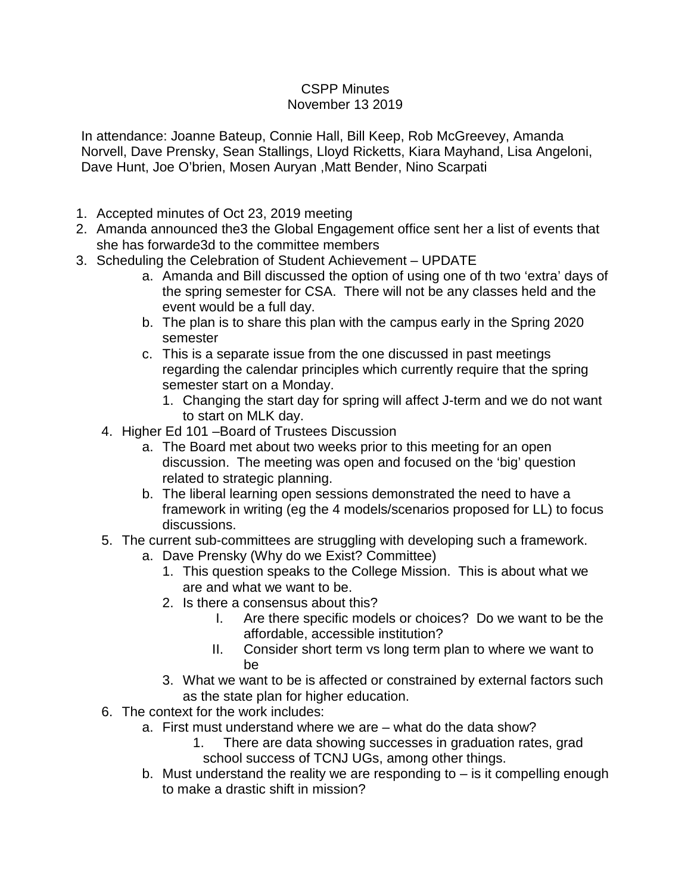## CSPP Minutes November 13 2019

In attendance: Joanne Bateup, Connie Hall, Bill Keep, Rob McGreevey, Amanda Norvell, Dave Prensky, Sean Stallings, Lloyd Ricketts, Kiara Mayhand, Lisa Angeloni, Dave Hunt, Joe O'brien, Mosen Auryan ,Matt Bender, Nino Scarpati

- 1. Accepted minutes of Oct 23, 2019 meeting
- 2. Amanda announced the3 the Global Engagement office sent her a list of events that she has forwarde3d to the committee members
- 3. Scheduling the Celebration of Student Achievement UPDATE
	- a. Amanda and Bill discussed the option of using one of th two 'extra' days of the spring semester for CSA. There will not be any classes held and the event would be a full day.
	- b. The plan is to share this plan with the campus early in the Spring 2020 semester
	- c. This is a separate issue from the one discussed in past meetings regarding the calendar principles which currently require that the spring semester start on a Monday.
		- 1. Changing the start day for spring will affect J-term and we do not want to start on MLK day.
	- 4. Higher Ed 101 –Board of Trustees Discussion
		- a. The Board met about two weeks prior to this meeting for an open discussion. The meeting was open and focused on the 'big' question related to strategic planning.
		- b. The liberal learning open sessions demonstrated the need to have a framework in writing (eg the 4 models/scenarios proposed for LL) to focus discussions.
	- 5. The current sub-committees are struggling with developing such a framework.
		- a. Dave Prensky (Why do we Exist? Committee)
			- 1. This question speaks to the College Mission. This is about what we are and what we want to be.
			- 2. Is there a consensus about this?
				- I. Are there specific models or choices? Do we want to be the affordable, accessible institution?
				- II. Consider short term vs long term plan to where we want to be
			- 3. What we want to be is affected or constrained by external factors such as the state plan for higher education.
	- 6. The context for the work includes:
		- a. First must understand where we are what do the data show?
			- 1. There are data showing successes in graduation rates, grad school success of TCNJ UGs, among other things.
		- b. Must understand the reality we are responding to is it compelling enough to make a drastic shift in mission?